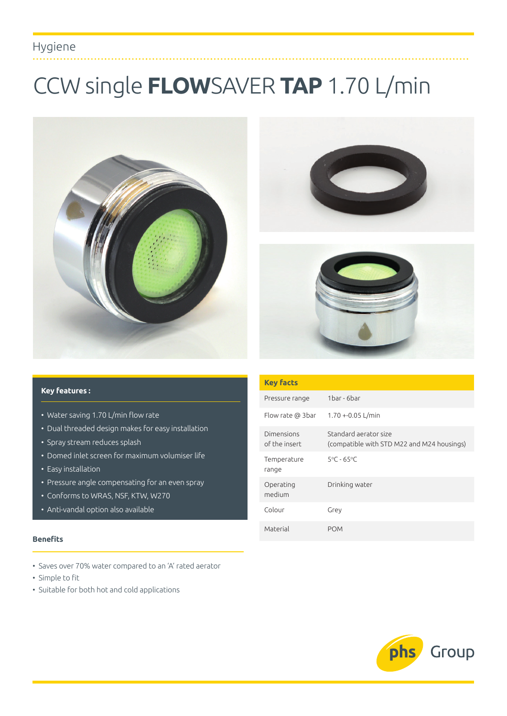## Hygiene

# CCW single **FLOW**SAVER **TAP** 1.70 L/min







#### **Key features :**

- Water saving 1.70 L/min flow rate
- Dual threaded design makes for easy installation
- Spray stream reduces splash
- Domed inlet screen for maximum volumiser life
- Easy installation
- Pressure angle compensating for an even spray
- Conforms to WRAS, NSF, KTW, W270
- Anti-vandal option also available

#### **Benefits**

- Saves over 70% water compared to an 'A' rated aerator
- Simple to fit
- Suitable for both hot and cold applications